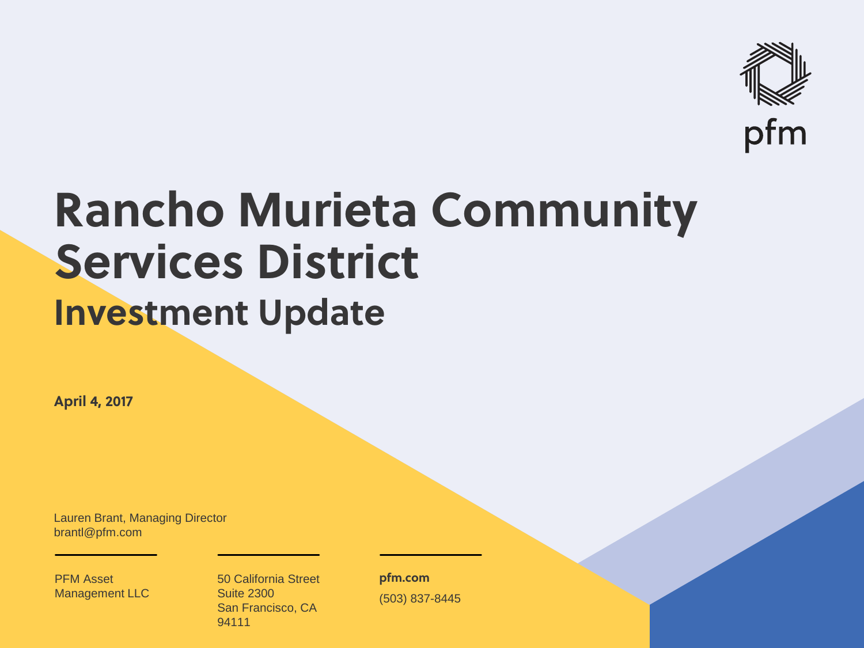

## **Rancho Murieta Community Services District Investment Update**

**April 4, 2017**

Lauren Brant, Managing Director brantl@pfm.com

PFM Asset Management LLC

o de la construcción de la construcción de la construcción de la construcción de la construcción de la construcc 50 California Street Suite 2300 San Francisco, CA 94111

**pfm.com** (503) 837-8445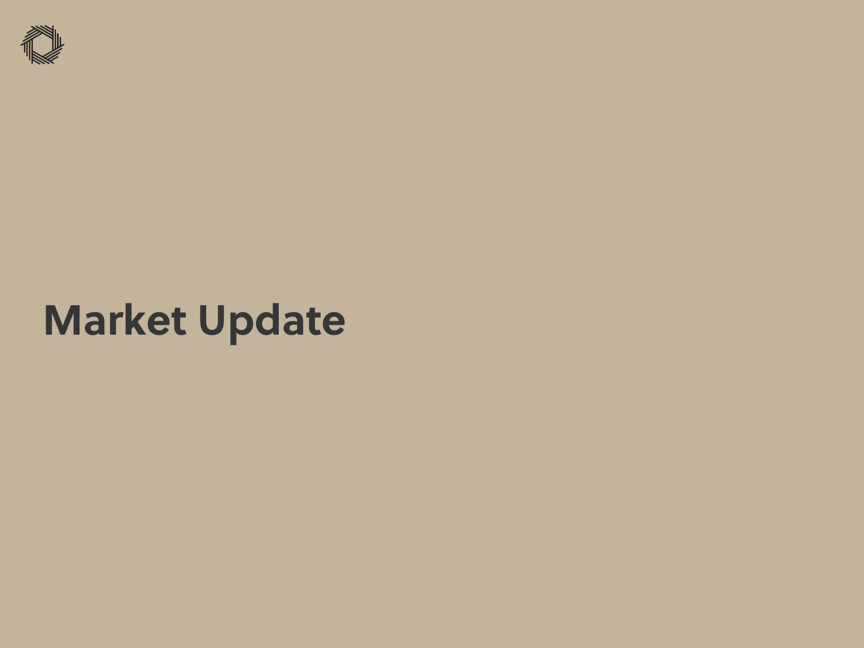

## **Market Update**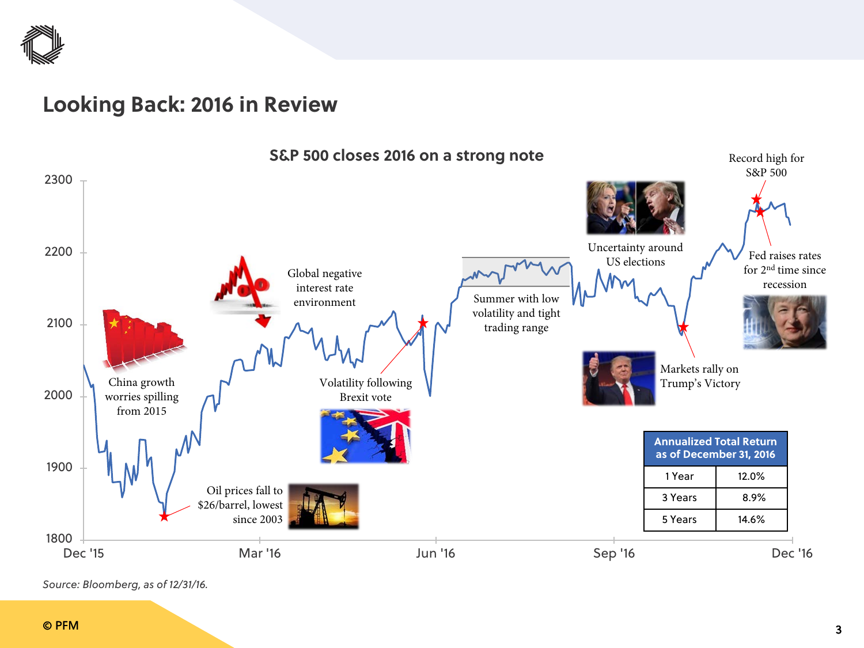

### **Looking Back: 2016 in Review**



*Source: Bloomberg, as of 12/31/16.*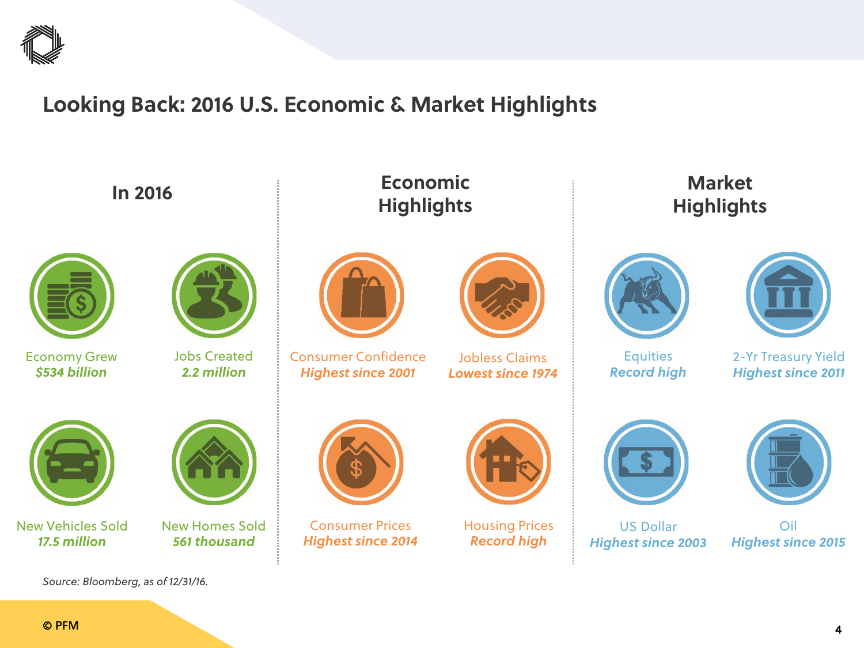

## **Looking Back: 2016 U.S. Economic & Market Highlights**

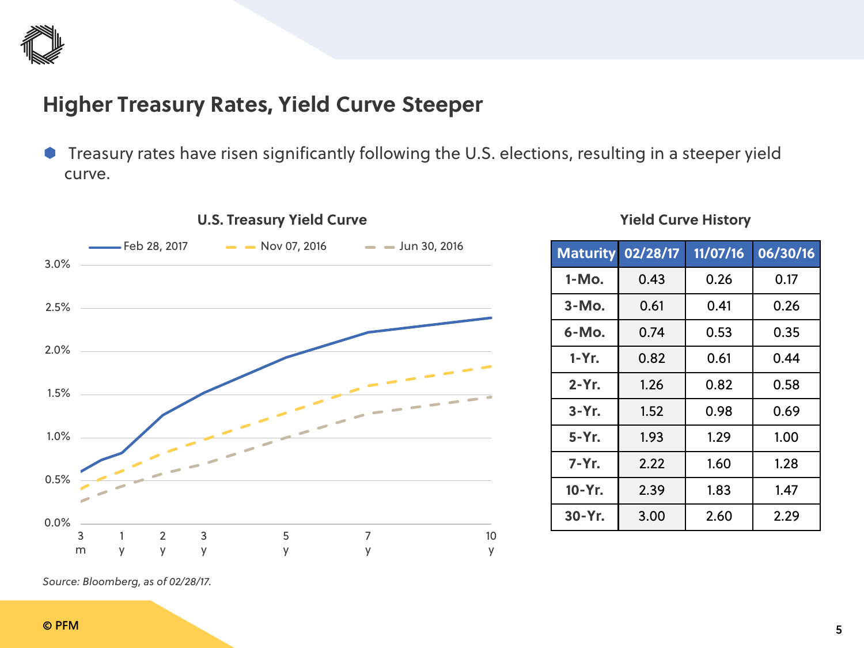

## **Higher Treasury Rates, Yield Curve Steeper**

**Treasury rates have risen significantly following the U.S. elections, resulting in a steeper yield** curve.



#### **U.S. Treasury Yield Curve**

#### **Yield Curve History**

| <b>Maturity</b> | 02/28/17 | 11/07/16 | 06/30/16 |
|-----------------|----------|----------|----------|
| 1-Mo.           | 0.43     | 0.26     | 0.17     |
| $3-MO$ .        | 0.61     | 0.41     | 0.26     |
| 6-Mo.           | 0.74     | 0.53     | 0.35     |
| $1-Yr$ .        | 0.82     | 0.61     | 0.44     |
| $2 - Yr$ .      | 1.26     | 0.82     | 0.58     |
| $3-Yr$ .        | 1.52     | 0.98     | 0.69     |
| 5-Yr.           | 1.93     | 1.29     | 1.00     |
| 7-Yr.           | 2.22     | 1.60     | 1.28     |
| 10-Yr.          | 2.39     | 1.83     | 1.47     |
| 30-Yr.          | 3.00     | 2.60     | 2.29     |

*Source: Bloomberg, as of 02/28/17.*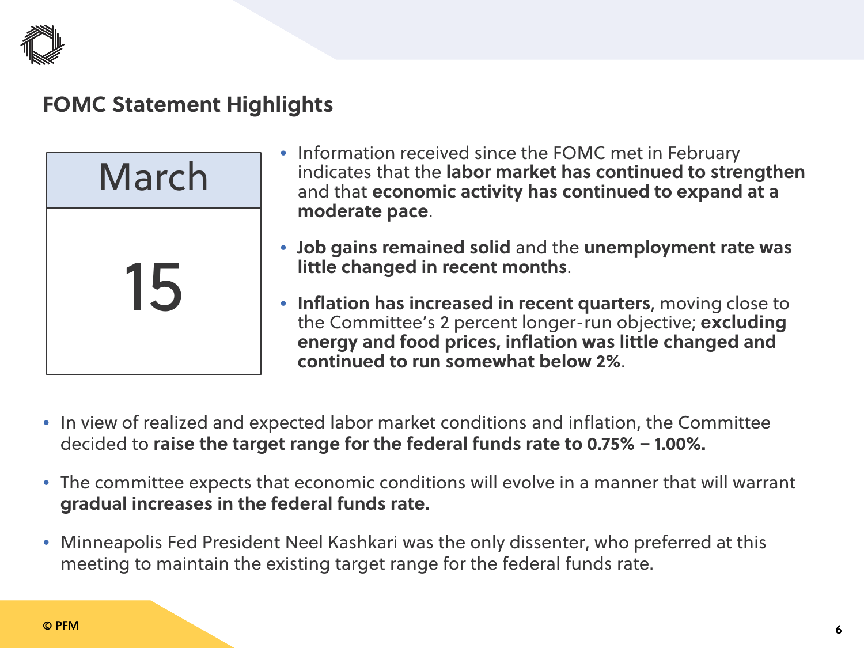

## **FOMC Statement Highlights**



- Information received since the FOMC met in February indicates that the **labor market has continued to strengthen** and that **economic activity has continued to expand at a moderate pace**.
- **Job gains remained solid** and the **unemployment rate was little changed in recent months**.
- **Inflation has increased in recent quarters**, moving close to the Committee's 2 percent longer-run objective; **excluding energy and food prices, inflation was little changed and continued to run somewhat below 2%**.
- In view of realized and expected labor market conditions and inflation, the Committee decided to **raise the target range for the federal funds rate to 0.75% – 1.00%.**
- The committee expects that economic conditions will evolve in a manner that will warrant **gradual increases in the federal funds rate.**
- Minneapolis Fed President Neel Kashkari was the only dissenter, who preferred at this meeting to maintain the existing target range for the federal funds rate.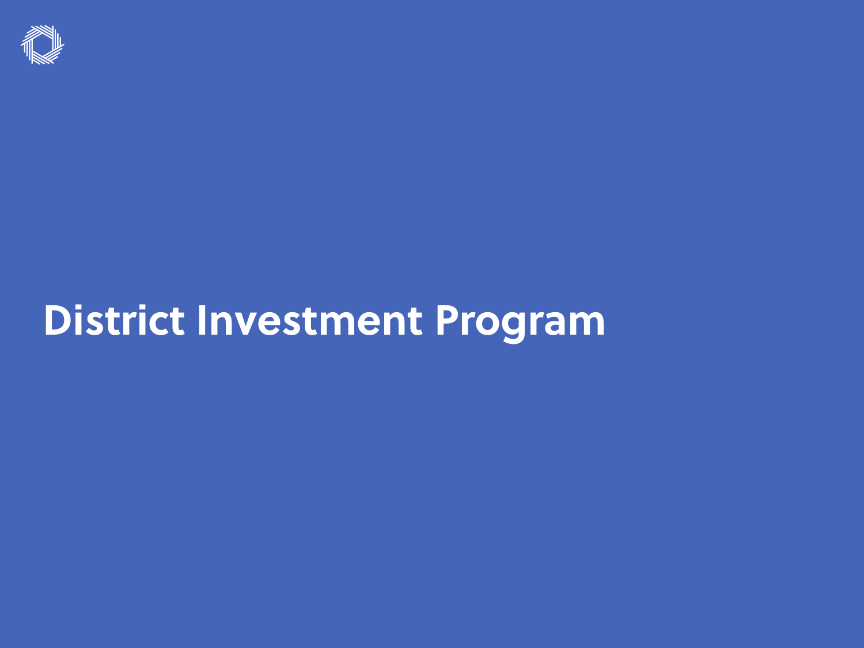

## **District Investment Program**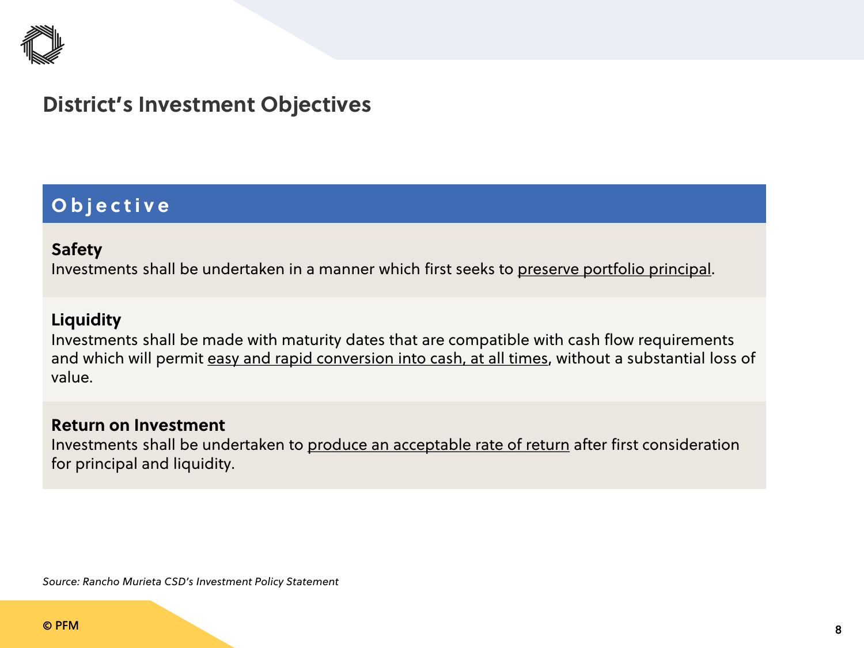

## **District's Investment Objectives**

### **Objective**

#### **Safety**

Investments shall be undertaken in a manner which first seeks to preserve portfolio principal.

#### **Liquidity**

Investments shall be made with maturity dates that are compatible with cash flow requirements and which will permit easy and rapid conversion into cash, at all times, without a substantial loss of value.

#### **Return on Investment**

Investments shall be undertaken to produce an acceptable rate of return after first consideration for principal and liquidity.

*Source: Rancho Murieta CSD's Investment Policy Statement*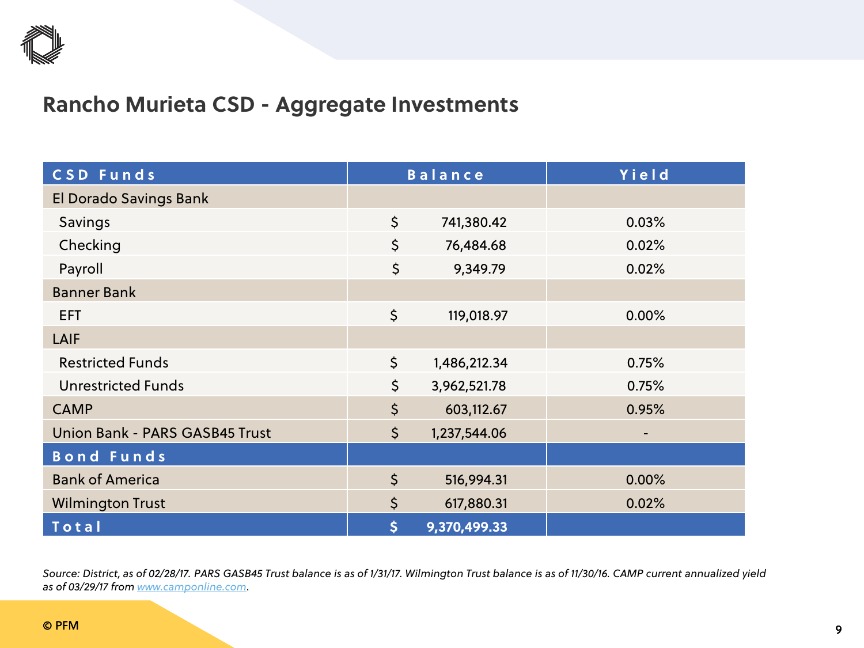

## **Rancho Murieta CSD - Aggregate Investments**

| CSD Funds                      | <b>Balance</b> |              | Yield |
|--------------------------------|----------------|--------------|-------|
| El Dorado Savings Bank         |                |              |       |
| Savings                        | \$             | 741,380.42   | 0.03% |
| Checking                       | \$             | 76,484.68    | 0.02% |
| Payroll                        | \$             | 9,349.79     | 0.02% |
| <b>Banner Bank</b>             |                |              |       |
| <b>EFT</b>                     | \$             | 119,018.97   | 0.00% |
| LAIF                           |                |              |       |
| <b>Restricted Funds</b>        | \$             | 1,486,212.34 | 0.75% |
| <b>Unrestricted Funds</b>      | \$             | 3,962,521.78 | 0.75% |
| <b>CAMP</b>                    | \$             | 603,112.67   | 0.95% |
| Union Bank - PARS GASB45 Trust | $\zeta$        | 1,237,544.06 | -     |
| <b>Bond Funds</b>              |                |              |       |
| <b>Bank of America</b>         | $\zeta$        | 516,994.31   | 0.00% |
| <b>Wilmington Trust</b>        | $\zeta$        | 617,880.31   | 0.02% |
| Total                          | \$             | 9,370,499.33 |       |

*Source: District, as of 02/28/17. PARS GASB45 Trust balance is as of 1/31/17. Wilmington Trust balance is as of 11/30/16. CAMP current annualized yield as of 03/29/17 from [www.camponline.com](http://www.camponline.com/)*.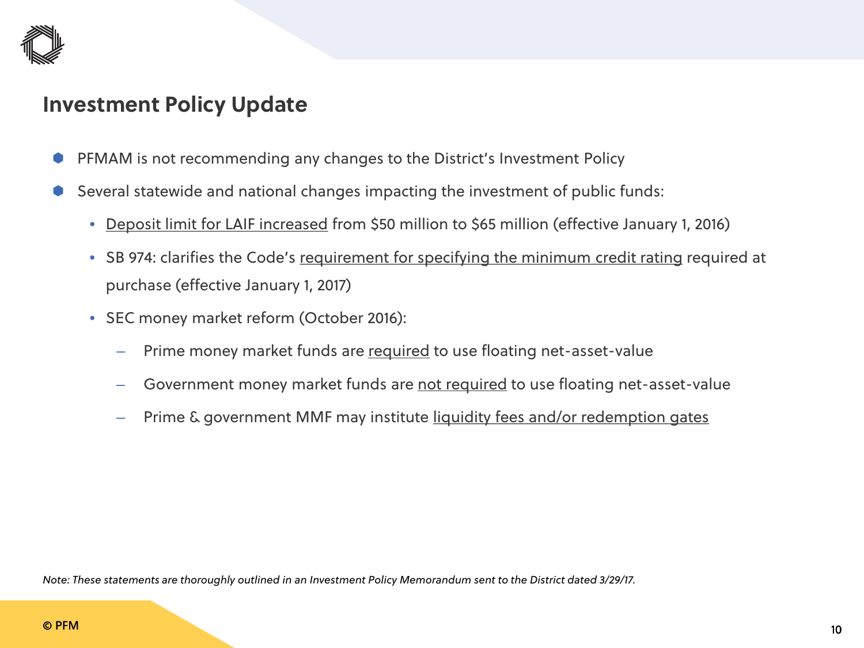

## **Investment Policy Update**

- PFMAM is not recommending any changes to the District's Investment Policy
- Several statewide and national changes impacting the investment of public funds:
	- Deposit limit for LAIF increased from \$50 million to \$65 million (effective January 1, 2016)
	- SB 974: clarifies the Code's requirement for specifying the minimum credit rating required at purchase (effective January 1, 2017)
	- SEC money market reform (October 2016):
		- Prime money market funds are required to use floating net-asset-value
		- Government money market funds are not required to use floating net-asset-value
		- Prime & government MMF may institute liquidity fees and/or redemption gates

*Note: These statements are thoroughly outlined in an Investment Policy Memorandum sent to the District dated 3/29/17.*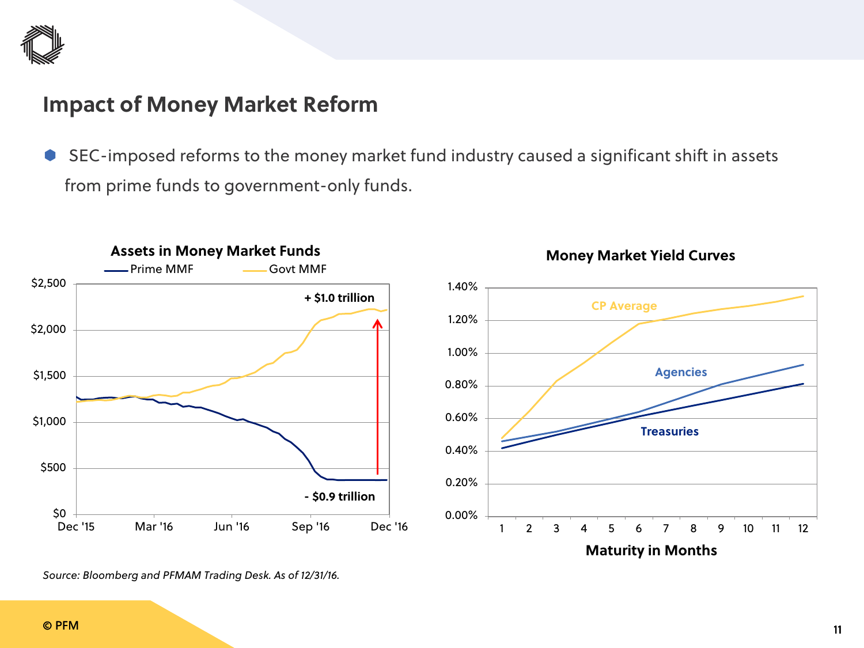

## **Impact of Money Market Reform**

 SEC-imposed reforms to the money market fund industry caused a significant shift in assets from prime funds to government-only funds.



*Source: Bloomberg and PFMAM Trading Desk. As of 12/31/16.*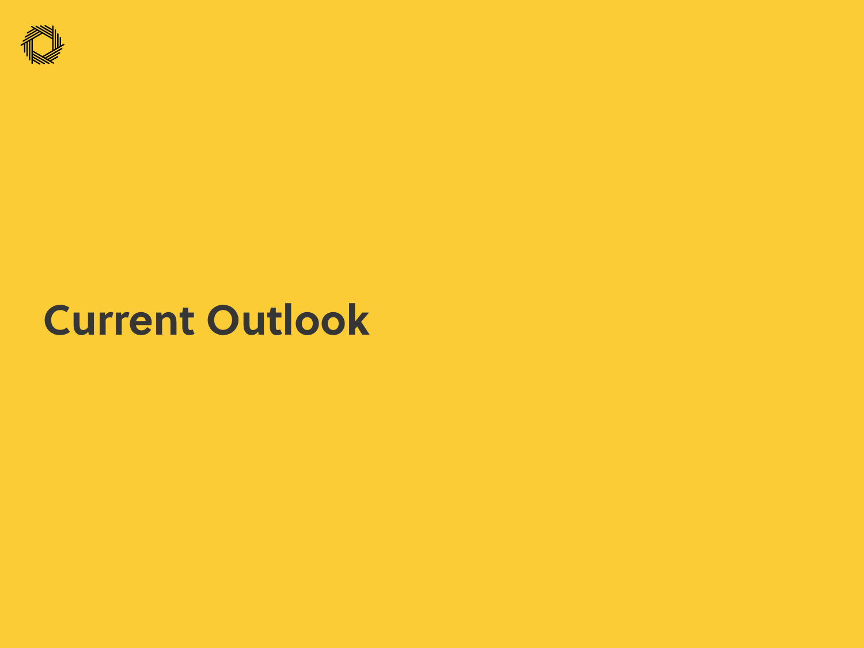

## **Current Outlook**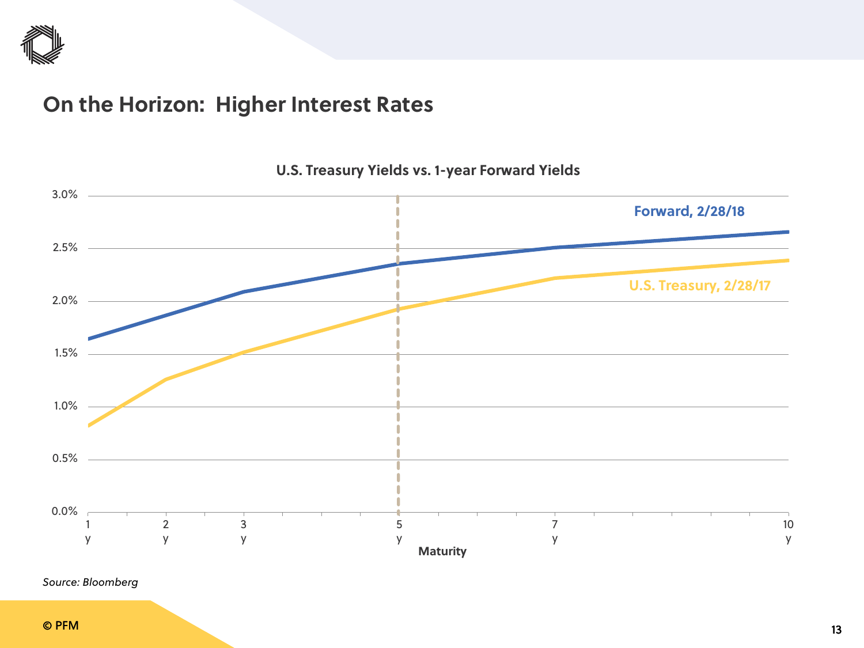

## **On the Horizon: Higher Interest Rates**



#### **U.S. Treasury Yields vs. 1-year Forward Yields**

*Source: Bloomberg*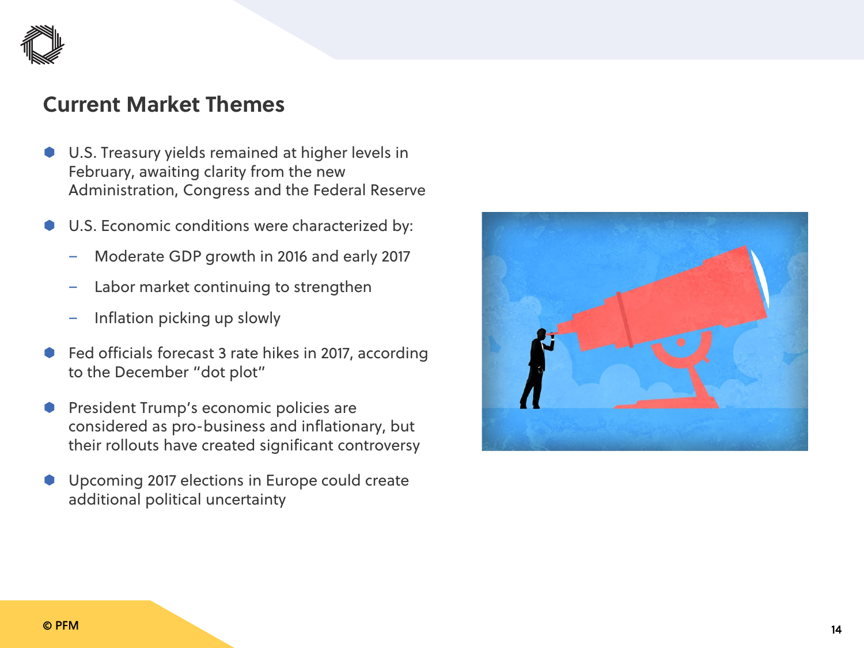

## **Current Market Themes**

- U.S. Treasury yields remained at higher levels in February, awaiting clarity from the new Administration, Congress and the Federal Reserve
- U.S. Economic conditions were characterized by:
	- Moderate GDP growth in 2016 and early 2017
	- Labor market continuing to strengthen
	- Inflation picking up slowly
- Fed officials forecast 3 rate hikes in 2017, according to the December "dot plot"
- President Trump's economic policies are considered as pro-business and inflationary, but their rollouts have created significant controversy
- Upcoming 2017 elections in Europe could create additional political uncertainty

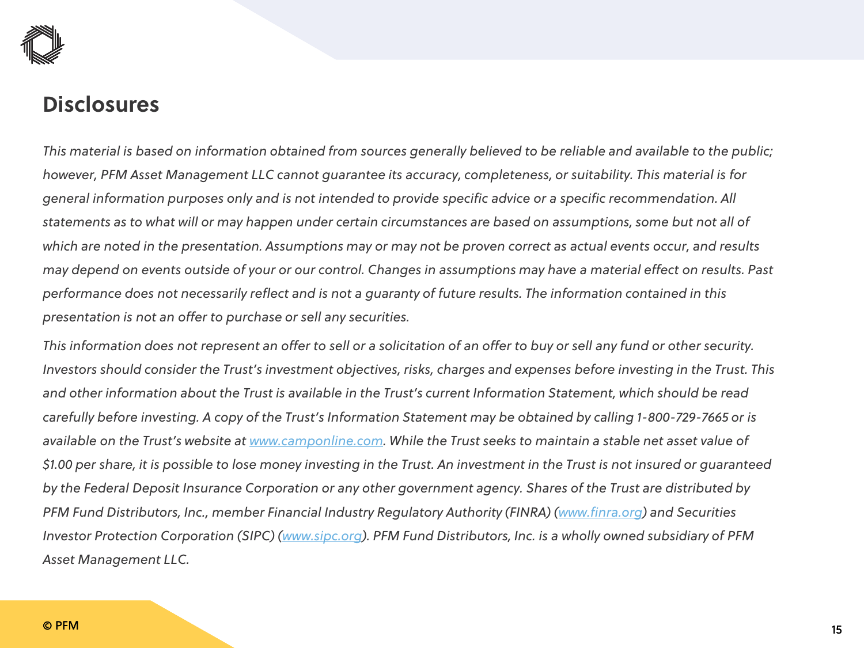

### **Disclosures**

*This material is based on information obtained from sources generally believed to be reliable and available to the public; however, PFM Asset Management LLC cannot guarantee its accuracy, completeness, or suitability. This material is for general information purposes only and is not intended to provide specific advice or a specific recommendation. All statements as to what will or may happen under certain circumstances are based on assumptions, some but not all of which are noted in the presentation. Assumptions may or may not be proven correct as actual events occur, and results may depend on events outside of your or our control. Changes in assumptions may have a material effect on results. Past performance does not necessarily reflect and is not a guaranty of future results. The information contained in this presentation is not an offer to purchase or sell any securities.*

*This information does not represent an offer to sell or a solicitation of an offer to buy or sell any fund or other security. Investors should consider the Trust's investment objectives, risks, charges and expenses before investing in the Trust. This and other information about the Trust is available in the Trust's current Information Statement, which should be read carefully before investing. A copy of the Trust's Information Statement may be obtained by calling 1-800-729-7665 or is available on the Trust's website at [www.camponline.com](http://www.camponline.com/). While the Trust seeks to maintain a stable net asset value of \$1.00 per share, it is possible to lose money investing in the Trust. An investment in the Trust is not insured or guaranteed by the Federal Deposit Insurance Corporation or any other government agency. Shares of the Trust are distributed by PFM Fund Distributors, Inc., member Financial Industry Regulatory Authority (FINRA) [\(www.finra.org](http://www.finra.org/)) and Securities Investor Protection Corporation (SIPC) [\(www.sipc.org\)](http://www.sipc.org/). PFM Fund Distributors, Inc. is a wholly owned subsidiary of PFM Asset Management LLC.*